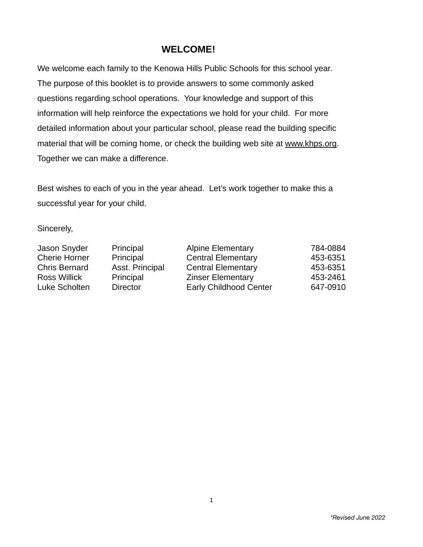# **WELCOME!**

We welcome each family to the Kenowa Hills Public Schools for this school year. The purpose of this booklet is to provide answers to some commonly asked questions regarding school operations. Your knowledge and support of this information will help reinforce the expectations we hold for your child. For more detailed information about your particular school, please read the building specific material that will be coming home, or check the building web site at www.khps.org. Together we can make a difference.

Best wishes to each of you in the year ahead. Let's work together to make this a successful year for your child.

Sincerely,

| Principal       | <b>Alpine Elementary</b>      | 784-0884 |
|-----------------|-------------------------------|----------|
| Principal       | <b>Central Elementary</b>     | 453-6351 |
| Asst. Principal | <b>Central Elementary</b>     | 453-6351 |
| Principal       | <b>Zinser Elementary</b>      | 453-2461 |
| <b>Director</b> | <b>Early Childhood Center</b> | 647-0910 |
|                 |                               |          |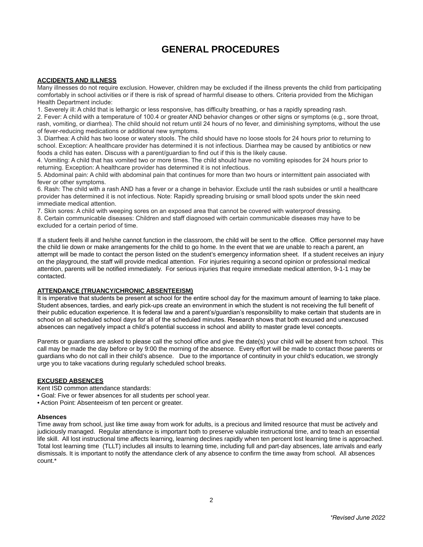# **GENERAL PROCEDURES**

### **ACCIDENTS AND ILLNESS**

Many illnesses do not require exclusion. However, children may be excluded if the illness prevents the child from participating comfortably in school activities or if there is risk of spread of harmful disease to others. Criteria provided from the Michigan Health Department include:

1. Severely ill: A child that is lethargic or less responsive, has difficulty breathing, or has a rapidly spreading rash.

2. Fever: A child with a temperature of 100.4 or greater AND behavior changes or other signs or symptoms (e.g., sore throat, rash, vomiting, or diarrhea). The child should not return until 24 hours of no fever, and diminishing symptoms, without the use of fever-reducing medications or additional new symptoms.

3. Diarrhea: A child has two loose or watery stools. The child should have no loose stools for 24 hours prior to returning to school. Exception: A healthcare provider has determined it is not infectious. Diarrhea may be caused by antibiotics or new foods a child has eaten. Discuss with a parent/guardian to find out if this is the likely cause.

4. Vomiting: A child that has vomited two or more times. The child should have no vomiting episodes for 24 hours prior to returning. Exception: A healthcare provider has determined it is not infectious.

5. Abdominal pain: A child with abdominal pain that continues for more than two hours or intermittent pain associated with fever or other symptoms.

6. Rash: The child with a rash AND has a fever or a change in behavior. Exclude until the rash subsides or until a healthcare provider has determined it is not infectious. Note: Rapidly spreading bruising or small blood spots under the skin need immediate medical attention.

7. Skin sores: A child with weeping sores on an exposed area that cannot be covered with waterproof dressing.

8. Certain communicable diseases: Children and staff diagnosed with certain communicable diseases may have to be excluded for a certain period of time.

If a student feels ill and he/she cannot function in the classroom, the child will be sent to the office. Office personnel may have the child lie down or make arrangements for the child to go home. In the event that we are unable to reach a parent, an attempt will be made to contact the person listed on the student's emergency information sheet. If a student receives an injury on the playground, the staff will provide medical attention. For injuries requiring a second opinion or professional medical attention, parents will be notified immediately. For serious injuries that require immediate medical attention, 9-1-1 may be contacted.

### **ATTENDANCE (TRUANCY/CHRONIC ABSENTEEISM)**

It is imperative that students be present at school for the entire school day for the maximum amount of learning to take place. Student absences, tardies, and early pick-ups create an environment in which the student is not receiving the full benefit of their public education experience. It is federal law and a parent's/guardian's responsibility to make certain that students are in school on all scheduled school days for all of the scheduled minutes. Research shows that both excused and unexcused absences can negatively impact a child's potential success in school and ability to master grade level concepts.

Parents or guardians are asked to please call the school office and give the date(s) your child will be absent from school. This call may be made the day before or by 9:00 the morning of the absence. Every effort will be made to contact those parents or guardians who do not call in their child's absence. Due to the importance of continuity in your child's education, we strongly urge you to take vacations during regularly scheduled school breaks.

#### **EXCUSED ABSENCES**

Kent ISD common attendance standards:

- Goal: Five or fewer absences for all students per school year.
- Action Point: Absenteeism of ten percent or greater.

#### **Absences**

Time away from school, just like time away from work for adults, is a precious and limited resource that must be actively and judiciously managed. Regular attendance is important both to preserve valuable instructional time, and to teach an essential life skill. All lost instructional time affects learning, learning declines rapidly when ten percent lost learning time is approached. Total lost learning time (TLLT) includes all insults to learning time, including full and part-day absences, late arrivals and early dismissals. It is important to notify the attendance clerk of any absence to confirm the time away from school. All absences count.\*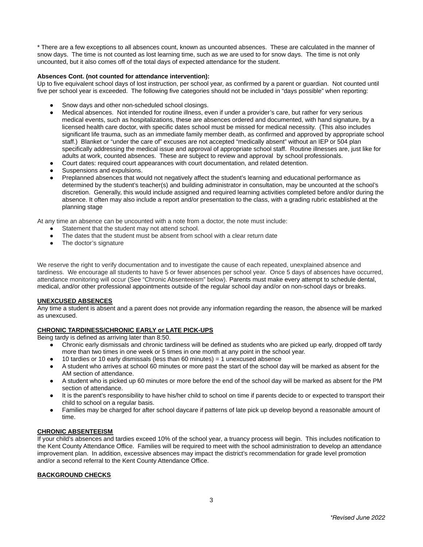\* There are a few exceptions to all absences count, known as uncounted absences. These are calculated in the manner of snow days. The time is not counted as lost learning time, such as we are used to for snow days. The time is not only uncounted, but it also comes off of the total days of expected attendance for the student.

# **Absences Cont. (not counted for attendance intervention):**

Up to five equivalent school days of lost instruction, per school year, as confirmed by a parent or guardian. Not counted until five per school year is exceeded. The following five categories should not be included in "days possible" when reporting:

- Snow days and other non-scheduled school closings.
- Medical absences. Not intended for routine illness, even if under a provider's care, but rather for very serious medical events, such as hospitalizations, these are absences ordered and documented, with hand signature, by a licensed health care doctor, with specific dates school must be missed for medical necessity. (This also includes significant life trauma, such as an immediate family member death, as confirmed and approved by appropriate school staff.) Blanket or "under the care of" excuses are not accepted "medically absent" without an IEP or 504 plan specifically addressing the medical issue and approval of appropriate school staff. Routine illnesses are, just like for adults at work, counted absences. These are subject to review and approval by school professionals.
- Court dates: required court appearances with court documentation, and related detention.
- Suspensions and expulsions.
- Preplanned absences that would not negatively affect the student's learning and educational performance as determined by the student's teacher(s) and building administrator in consultation, may be uncounted at the school's discretion. Generally, this would include assigned and required learning activities completed before and/or during the absence. It often may also include a report and/or presentation to the class, with a grading rubric established at the planning stage

At any time an absence can be uncounted with a note from a doctor, the note must include:

- Statement that the student may not attend school.
- The dates that the student must be absent from school with a clear return date
- The doctor's signature

We reserve the right to verify documentation and to investigate the cause of each repeated, unexplained absence and tardiness. We encourage all students to have 5 or fewer absences per school year. Once 5 days of absences have occurred, attendance monitoring will occur (See "Chronic Absenteeism" below). Parents must make every attempt to schedule dental, medical, and/or other professional appointments outside of the regular school day and/or on non-school days or breaks.

### **UNEXCUSED ABSENCES**

Any time a student is absent and a parent does not provide any information regarding the reason, the absence will be marked as unexcused.

## **CHRONIC TARDINESS/CHRONIC EARLY or LATE PICK-UPS**

Being tardy is defined as arriving later than 8:50.

- Chronic early dismissals and chronic tardiness will be defined as students who are picked up early, dropped off tardy more than two times in one week or 5 times in one month at any point in the school year.
- 10 tardies or 10 early dismissals (less than 60 minutes) = 1 unexcused absence
- A student who arrives at school 60 minutes or more past the start of the school day will be marked as absent for the AM section of attendance.
- A student who is picked up 60 minutes or more before the end of the school day will be marked as absent for the PM section of attendance.
- It is the parent's responsibility to have his/her child to school on time if parents decide to or expected to transport their child to school on a regular basis.
- Families may be charged for after school daycare if patterns of late pick up develop beyond a reasonable amount of time.

### **CHRONIC ABSENTEEISM**

If your child's absences and tardies exceed 10% of the school year, a truancy process will begin. This includes notification to the Kent County Attendance Office. Families will be required to meet with the school administration to develop an attendance improvement plan. In addition, excessive absences may impact the district's recommendation for grade level promotion and/or a second referral to the Kent County Attendance Office.

### **BACKGROUND CHECKS**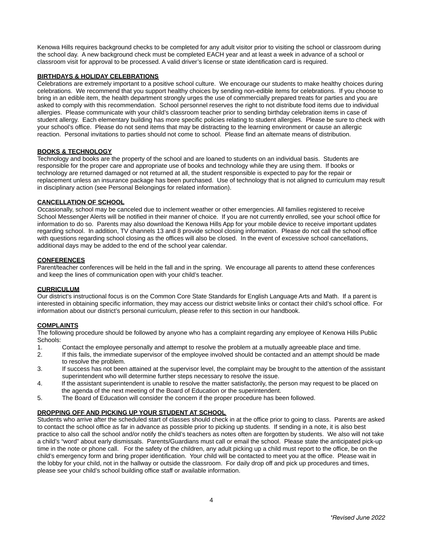Kenowa Hills requires background checks to be completed for any adult visitor prior to visiting the school or classroom during the school day. A new background check must be completed EACH year and at least a week in advance of a school or classroom visit for approval to be processed. A valid driver's license or state identification card is required.

# **BIRTHDAYS & HOLIDAY CELEBRATIONS**

Celebrations are extremely important to a positive school culture. We encourage our students to make healthy choices during celebrations. We recommend that you support healthy choices by sending non-edible items for celebrations. If you choose to bring in an edible item, the health department strongly urges the use of commercially prepared treats for parties and you are asked to comply with this recommendation. School personnel reserves the right to not distribute food items due to individual allergies. Please communicate with your child's classroom teacher prior to sending birthday celebration items in case of student allergy. Each elementary building has more specific policies relating to student allergies. Please be sure to check with your school's office. Please do not send items that may be distracting to the learning environment or cause an allergic reaction. Personal invitations to parties should not come to school. Please find an alternate means of distribution.

#### **BOOKS & TECHNOLOGY**

Technology and books are the property of the school and are loaned to students on an individual basis. Students are responsible for the proper care and appropriate use of books and technology while they are using them. If books or technology are returned damaged or not returned at all, the student responsible is expected to pay for the repair or replacement unless an insurance package has been purchased. Use of technology that is not aligned to curriculum may result in disciplinary action (see Personal Belongings for related information).

#### **CANCELLATION OF SCHOOL**

Occasionally, school may be canceled due to inclement weather or other emergencies. All families registered to receive School Messenger Alerts will be notified in their manner of choice. If you are not currently enrolled, see your school office for information to do so. Parents may also download the Kenowa Hills App for your mobile device to receive important updates regarding school. In addition, TV channels 13 and 8 provide school closing information. Please do not call the school office with questions regarding school closing as the offices will also be closed. In the event of excessive school cancellations, additional days may be added to the end of the school year calendar.

#### **CONFERENCES**

Parent/teacher conferences will be held in the fall and in the spring. We encourage all parents to attend these conferences and keep the lines of communication open with your child's teacher.

# **CURRICULUM**

Our district's instructional focus is on the Common Core State Standards for English Language Arts and Math. If a parent is interested in obtaining specific information, they may access our district website links or contact their child's school office. For information about our district's personal curriculum, please refer to this section in our handbook.

### **COMPLAINTS**

The following procedure should be followed by anyone who has a complaint regarding any employee of Kenowa Hills Public Schools:

- 1. Contact the employee personally and attempt to resolve the problem at a mutually agreeable place and time.
- 2. If this fails, the immediate supervisor of the employee involved should be contacted and an attempt should be made to resolve the problem.
- 3. If success has not been attained at the supervisor level, the complaint may be brought to the attention of the assistant superintendent who will determine further steps necessary to resolve the issue.
- 4. If the assistant superintendent is unable to resolve the matter satisfactorily, the person may request to be placed on the agenda of the next meeting of the Board of Education or the superintendent.
- 5. The Board of Education will consider the concern if the proper procedure has been followed.

### **DROPPING OFF AND PICKING UP YOUR STUDENT AT SCHOOL**

Students who arrive after the scheduled start of classes should check in at the office prior to going to class. Parents are asked to contact the school office as far in advance as possible prior to picking up students. If sending in a note, it is also best practice to also call the school and/or notify the child's teachers as notes often are forgotten by students. We also will not take a child's "word" about early dismissals. Parents/Guardians must call or email the school. Please state the anticipated pick-up time in the note or phone call. For the safety of the children, any adult picking up a child must report to the office, be on the child's emergency form and bring proper identification. Your child will be contacted to meet you at the office. Please wait in the lobby for your child, not in the hallway or outside the classroom. For daily drop off and pick up procedures and times, please see your child's school building office staff or available information.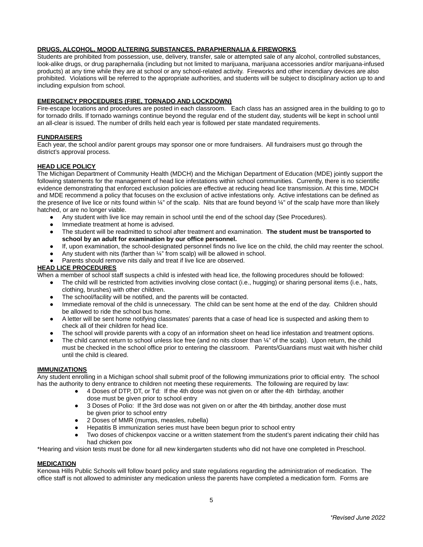# **DRUGS, ALCOHOL, MOOD ALTERING SUBSTANCES, PARAPHERNALIA & FIREWORKS**

Students are prohibited from possession, use, delivery, transfer, sale or attempted sale of any alcohol, controlled substances, look-alike drugs, or drug paraphernalia (including but not limited to marijuana, marijuana accessories and/or marijuana-infused products) at any time while they are at school or any school-related activity. Fireworks and other incendiary devices are also prohibited. Violations will be referred to the appropriate authorities, and students will be subject to disciplinary action up to and including expulsion from school.

# **EMERGENCY PROCEDURES (FIRE, TORNADO AND LOCKDOWN)**

Fire-escape locations and procedures are posted in each classroom. Each class has an assigned area in the building to go to for tornado drills. If tornado warnings continue beyond the regular end of the student day, students will be kept in school until an all-clear is issued. The number of drills held each year is followed per state mandated requirements.

# **FUNDRAISERS**

Each year, the school and/or parent groups may sponsor one or more fundraisers. All fundraisers must go through the district's approval process.

# **HEAD LICE POLICY**

The Michigan Department of Community Health (MDCH) and the Michigan Department of Education (MDE) jointly support the following statements for the management of head lice infestations within school communities. Currently, there is no scientific evidence demonstrating that enforced exclusion policies are effective at reducing head lice transmission. At this time, MDCH and MDE recommend a policy that focuses on the exclusion of active infestations only. Active infestations can be defined as the presence of live lice or nits found within  $\frac{1}{4}$ " of the scalp. Nits that are found beyond  $\frac{1}{4}$ " of the scalp have more than likely hatched, or are no longer viable.

- Any student with live lice may remain in school until the end of the school day (See Procedures).
- Immediate treatment at home is advised.
- The student will be readmitted to school after treatment and examination. **The student must be transported to school by an adult for examination by our office personnel.**
- If, upon examination, the school-designated personnel finds no live lice on the child, the child may reenter the school.
- Any student with nits (farther than  $44$ " from scalp) will be allowed in school.
- Parents should remove nits daily and treat if live lice are observed.

### **HEAD LICE PROCEDURES**

When a member of school staff suspects a child is infested with head lice, the following procedures should be followed:

- The child will be restricted from activities involving close contact (i.e., hugging) or sharing personal items (i.e., hats, clothing, brushes) with other children.
- The school/facility will be notified, and the parents will be contacted.
- Immediate removal of the child is unnecessary. The child can be sent home at the end of the day. Children should be allowed to ride the school bus home.
- A letter will be sent home notifying classmates' parents that a case of head lice is suspected and asking them to check all of their children for head lice.
- The school will provide parents with a copy of an information sheet on head lice infestation and treatment options.
- The child cannot return to school unless lice free (and no nits closer than  $44$ " of the scalp). Upon return, the child must be checked in the school office prior to entering the classroom. Parents/Guardians must wait with his/her child until the child is cleared.

### **IMMUNIZATIONS**

Any student enrolling in a Michigan school shall submit proof of the following immunizations prior to official entry. The school has the authority to deny entrance to children not meeting these requirements. The following are required by law:

- 4 Doses of DTP, DT, or Td: If the 4th dose was not given on or after the 4th birthday, another dose must be given prior to school entry
- 3 Doses of Polio: If the 3rd dose was not given on or after the 4th birthday, another dose must be given prior to school entry
- 2 Doses of MMR (mumps, measles, rubella)
- Hepatitis B immunization series must have been begun prior to school entry
- Two doses of chickenpox vaccine or a written statement from the student's parent indicating their child has had chicken pox

\*Hearing and vision tests must be done for all new kindergarten students who did not have one completed in Preschool.

### **MEDICATION**

Kenowa Hills Public Schools will follow board policy and state regulations regarding the administration of medication. The office staff is not allowed to administer any medication unless the parents have completed a medication form. Forms are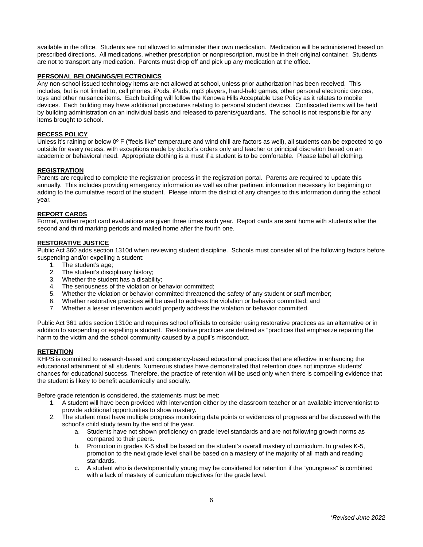available in the office. Students are not allowed to administer their own medication. Medication will be administered based on prescribed directions. All medications, whether prescription or nonprescription, must be in their original container. Students are not to transport any medication. Parents must drop off and pick up any medication at the office.

#### **PERSONAL BELONGINGS/ELECTRONICS**

Any non-school issued technology items are not allowed at school, unless prior authorization has been received. This includes, but is not limited to, cell phones, iPods, iPads, mp3 players, hand-held games, other personal electronic devices, toys and other nuisance items. Each building will follow the Kenowa Hills Acceptable Use Policy as it relates to mobile devices. Each building may have additional procedures relating to personal student devices. Confiscated items will be held by building administration on an individual basis and released to parents/guardians. The school is not responsible for any items brought to school.

#### **RECESS POLICY**

Unless it's raining or below  $0^{\circ}$  F ("feels like" temperature and wind chill are factors as well), all students can be expected to go outside for every recess, with exceptions made by doctor's orders only and teacher or principal discretion based on an academic or behavioral need. Appropriate clothing is a must if a student is to be comfortable. Please label all clothing.

#### **REGISTRATION**

Parents are required to complete the registration process in the registration portal. Parents are required to update this annually. This includes providing emergency information as well as other pertinent information necessary for beginning or adding to the cumulative record of the student. Please inform the district of any changes to this information during the school year.

#### **REPORT CARDS**

Formal, written report card evaluations are given three times each year. Report cards are sent home with students after the second and third marking periods and mailed home after the fourth one.

#### **RESTORATIVE JUSTICE**

Public Act 360 adds section 1310d when reviewing student discipline. Schools must consider all of the following factors before suspending and/or expelling a student:

- 1. The student's age;
- 2. The student's disciplinary history;
- 3. Whether the student has a disability;
- 4. The seriousness of the violation or behavior committed;
- 5. Whether the violation or behavior committed threatened the safety of any student or staff member;
- 6. Whether restorative practices will be used to address the violation or behavior committed; and
- 7. Whether a lesser intervention would properly address the violation or behavior committed.

Public Act 361 adds section 1310c and requires school officials to consider using restorative practices as an alternative or in addition to suspending or expelling a student. Restorative practices are defined as "practices that emphasize repairing the harm to the victim and the school community caused by a pupil's misconduct.

#### **RETENTION**

KHPS is committed to research-based and competency-based educational practices that are effective in enhancing the educational attainment of all students. Numerous studies have demonstrated that retention does not improve students' chances for educational success. Therefore, the practice of retention will be used only when there is compelling evidence that the student is likely to benefit academically and socially.

Before grade retention is considered, the statements must be met:

- 1. A student will have been provided with intervention either by the classroom teacher or an available interventionist to provide additional opportunities to show mastery.
- 2. The student must have multiple progress monitoring data points or evidences of progress and be discussed with the school's child study team by the end of the year.
	- a. Students have not shown proficiency on grade level standards and are not following growth norms as compared to their peers.
	- b. Promotion in grades K-5 shall be based on the student's overall mastery of curriculum. In grades K-5, promotion to the next grade level shall be based on a mastery of the majority of all math and reading standards.
	- c. A student who is developmentally young may be considered for retention if the "youngness" is combined with a lack of mastery of curriculum objectives for the grade level.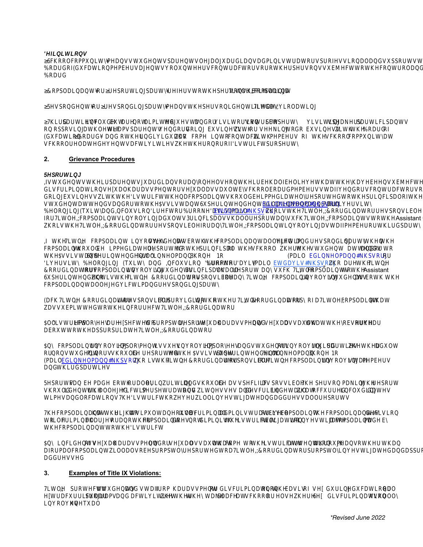#### $2.$ **Grievance Procedures**

#### eportin

If students t eir parents uardians or an one else on t eir e alf elieve t at t e ave een su ected to sex discrimination sexual arassment or sexual assault sc ool oard mem ers staff vendors contractors or ot er persons doin usiness it te istrict ten a complaint sould e immediatel reported to te principal of te scool ere te student attends and or to t e ssistant uperintendent ill in elmann Erdail elmann ps.or or iversit elon in E uit and Inclusion irector roo e avis Emtativis ps.or oist e Title IX oordinator responsi le for Title IX complaints involving adults. Principals s all report an suc Title IX complaints to t e Assistant S int nd nt in a sta is t it dinat s nsi an it aint in tid at

 $\ddagger$ it. s st d nts as  $t$   $t$ d i ti and aint in ainant a s ndin at tnt aint s i diat t d t t  $in$   $i$   $a$  $t$ st d nt att nds and t <sub>d</sub>  $\ddagger$  s  $\ddagger$ Assistant S int nd nt  $\mathbf{i}$  $in$ ann n. ai din ann  $\mathbf{s}$ ai tda is  $\mathbf{i}$  $n$  in it and n sin i sit  $\mathbf{t}$ a is  $\overline{\mathbf{c}}$  $\overline{a}$ -it  $\mathbf{t}$ dinat s aints in in st d nts in i as s a t an s it aints t t Assistant S int nd nt is t it dinat s nsi  $-$ it aint in in st d nts as  $t$  t an ainant a d i ti and s ndin a t

dinat is s nsi idin t t t it dinat a a it aint t at a it.  $\overline{a}$  s s itt dt t in t it dinat

A ist i t  $s<sub>a</sub>$ tdt  $\mathsf{t}$ t s a a ass nt and s a assa tt at t **S** a tt t a iat it dinat a

nt iss s in An aints in in in s and st d nts in in tid atis  $\mathbf{t}$ ad t n n st d nt in s s t d t t Assistant S int nd nt i in d ann  $\mathsf{n}$ is t dinat s nsi it ai din ann  $\mathbf{s}$ it aints in in sta s and  $t$  id  $a$   $t$  is

t a in itin and s  $\mathsf{d}$ ass ii as ssi  $sin$  a in t ts an ad  $\mathbf{f}$ s d id nti t a d i ti tat s and itn ss s and d s i in d tai at d in din dat s ti. s and atins ist i t i in sti at and add ss a ts

s i a i ina ad inistati İΙ ainant as t ittsi tan aint ainantsd isin t i i ina  $an t$ aint d s n t di inis t istits iatint in stiat a a s aint ad ainant t t ist i t  $\ddagger$ 

An in id nts s a a ass nt and s a assattat  $t$  t istits att ntint ans t  $t$  an aint i as t dt a it a. a  $\mathsf{t}$ dinat t in sti at dand a iat add ss d

#### $3.$ **Examples of Title IX Violations:**

Title IX protects students and staff from arassment or discriminationon t e asis of sex durin educational or extracurriculapro rams and activities et er t e ta e place at sc ool or else ere. ex discriminationusuall involves une ual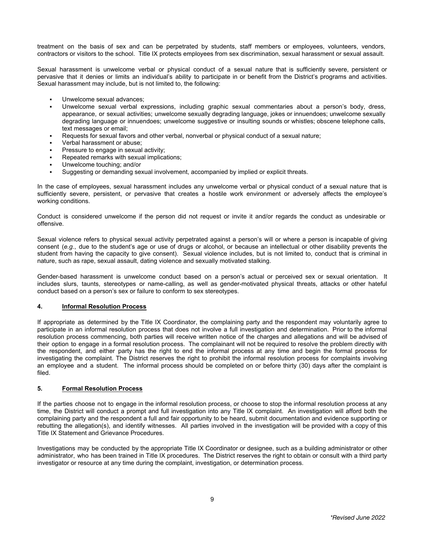treatment on the basis of sex and can be perpetrated by students, staff members or employees, volunteers, vendors, contractors or visitors to the school. Title IX protects employees from sex discrimination, sexual harassment or sexual assault.

Sexual harassment is unwelcome verbal or physical conduct of a sexual nature that is sufficiently severe, persistent or pervasive that it denies or limits an individual's ability to participate in or benefit from the District's programs and activities. Sexual harassment may include, but is not limited to, the following:

- Unwelcome sexual advances;
- Unwelcome sexual verbal expressions, including graphic sexual commentaries about a person's body, dress, appearance, or sexual activities; unwelcome sexually degrading language, jokes or innuendoes; unwelcome sexually degrading language or innuendoes; unwelcome suggestive or insulting sounds or whistles; obscene telephone calls, text messages or email;
- Requests for sexual favors and other verbal, nonverbal or physical conduct of a sexual nature;
- Verbal harassment or abuse:
- Pressure to engage in sexual activity:
- Repeated remarks with sexual implications:
- Unwelcome touching; and/or
- Suggesting or demanding sexual involvement, accompanied by implied or explicit threats.

In the case of employees, sexual harassment includes any unwelcome verbal or physical conduct of a sexual nature that is sufficiently severe, persistent, or pervasive that creates a hostile work environment or adversely affects the employee's working conditions.

Conduct is considered unwelcome if the person did not request or invite it and/or regards the conduct as undesirable or offensive.

Sexual violence refers to physical sexual activity perpetrated against a person's will or where a person is incapable of giving consent (*e.g.*, due to the student's age or use of drugs or alcohol, or because an intellectual or other disability prevents the student from having the capacity to give consent). Sexual violence includes, but is not limited to, conduct that is criminal in nature, such as rape, sexual assault, dating violence and sexually motivated stalking.

Gender-based harassment is unwelcome conduct based on a person's actual or perceived sex or sexual orientation. It includes slurs, taunts, stereotypes or name-calling, as well as gender-motivated physical threats, attacks or other hateful conduct based on a person's sex or failure to conform to sex stereotypes.

# **4. Informal Resolution Process**

If appropriate as determined by the Title IX Coordinator, the complaining party and the respondent may voluntarily agree to participate in an informal resolution process that does not involve a full investigation and determination. Prior to the informal resolution process commencing, both parties will receive written notice of the charges and allegations and will be advised of their option to engage in a formal resolution process. The complainant will not be required to resolve the problem directly with the respondent, and either party has the right to end the informal process at any time and begin the formal process for investigating the complaint. The District reserves the right to prohibit the informal resolution process for complaints involving an employee and a student. The informal process should be completed on or before thirty (30) days after the complaint is filed.

### **5. Formal Resolution Process**

If the parties choose not to engage in the informal resolution process, or choose to stop the informal resolution process at any time, the District will conduct a prompt and full investigation into any Title IX complaint. An investigation will afford both the complaining party and the respondent a full and fair opportunity to be heard, submit documentation and evidence supporting or rebutting the allegation(s), and identify witnesses. All parties involved in the investigation will be provided with a copy of this Title IX Statement and Grievance Procedures.

Investigations may be conducted by the appropriate Title IX Coordinator or designee, such as a building administrator or other administrator, who has been trained in Title IX procedures. The District reserves the right to obtain or consult with a third party investigator or resource at any time during the complaint, investigation, or determination process.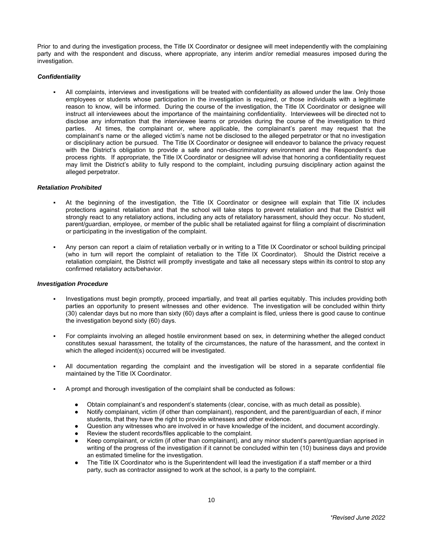Prior to and during the investigation process, the Title IX Coordinator or designee will meet independently with the complaining party and with the respondent and discuss, where appropriate, any interim and/or remedial measures imposed during the investigation.

#### *Confidentiality*

▪ All complaints, interviews and investigations will be treated with confidentiality as allowed under the law. Only those employees or students whose participation in the investigation is required, or those individuals with a legitimate reason to know, will be informed. During the course of the investigation, the Title IX Coordinator or designee will instruct all interviewees about the importance of the maintaining confidentiality. Interviewees will be directed not to disclose any information that the interviewee learns or provides during the course of the investigation to third parties. At times, the complainant or, where applicable, the complainant's parent may request that the At times, the complainant or, where applicable, the complainant's parent may request that the complainant's name or the alleged victim's name not be disclosed to the alleged perpetrator or that no investigation or disciplinary action be pursued. The Title IX Coordinator or designee will endeavor to balance the privacy request with the District's obligation to provide a safe and non-discriminatory environment and the Respondent's due process rights. If appropriate, the Title IX Coordinator or designee will advise that honoring a confidentiality request may limit the District's ability to fully respond to the complaint, including pursuing disciplinary action against the alleged perpetrator.

#### *Retaliation Prohibited*

- At the beginning of the investigation, the Title IX Coordinator or designee will explain that Title IX includes protections against retaliation and that the school will take steps to prevent retaliation and that the District will strongly react to any retaliatory actions, including any acts of retaliatory harassment, should they occur. No student, parent/guardian, employee, or member of the public shall be retaliated against for filing a complaint of discrimination or participating in the investigation of the complaint.
- Any person can report a claim of retaliation verbally or in writing to a Title IX Coordinator or school building principal (who in turn will report the complaint of retaliation to the Title IX Coordinator). Should the District receive a retaliation complaint, the District will promptly investigate and take all necessary steps within its control to stop any confirmed retaliatory acts/behavior.

#### *Investigation Procedure*

- Investigations must begin promptly, proceed impartially, and treat all parties equitably. This includes providing both parties an opportunity to present witnesses and other evidence. The investigation will be concluded within thirty (30) calendar days but no more than sixty (60) days after a complaint is filed, unless there is good cause to continue the investigation beyond sixty (60) days.
- For complaints involving an alleged hostile environment based on sex, in determining whether the alleged conduct constitutes sexual harassment, the totality of the circumstances, the nature of the harassment, and the context in which the alleged incident(s) occurred will be investigated.
- All documentation regarding the complaint and the investigation will be stored in a separate confidential file maintained by the Title IX Coordinator.
- A prompt and thorough investigation of the complaint shall be conducted as follows:
	-
	- Obtain complainant's and respondent's statements (clear, concise, with as much detail as possible).<br>● Notify complainant, victim (if other than complainant), respondent, and the parent/quardian of each i Notify complainant, victim (if other than complainant), respondent, and the parent/guardian of each, if minor students, that they have the right to provide witnesses and other evidence.
	- Question any witnesses who are involved in or have knowledge of the incident, and document accordingly.
	- Review the student records/files applicable to the complaint.
	- Keep complainant, or victim (if other than complainant), and any minor student's parent/guardian apprised in writing of the progress of the investigation if it cannot be concluded within ten (10) business days and provide an estimated timeline for the investigation.
	- The Title IX Coordinator who is the Superintendent will lead the investigation if a staff member or a third party, such as contractor assigned to work at the school, is a party to the complaint.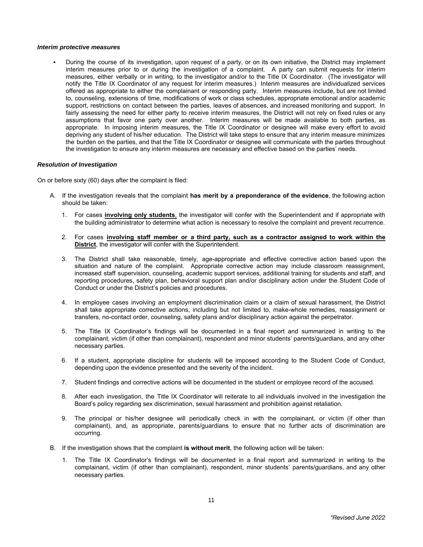#### *Interim protective measures*

▪ During the course of its investigation, upon request of a party, or on its own initiative, the District may implement interim measures prior to or during the investigation of a complaint. A party can submit requests for interim measures, either verbally or in writing, to the investigator and/or to the Title IX Coordinator. (The investigator will notify the Title IX Coordinator of any request for interim measures.) Interim measures are individualized services offered as appropriate to either the complainant or responding party. Interim measures include, but are not limited to, counseling, extensions of time, modifications of work or class schedules, appropriate emotional and/or academic support, restrictions on contact between the parties, leaves of absences, and increased monitoring and support. In fairly assessing the need for either party to receive interim measures, the District will not rely on fixed rules or any assumptions that favor one party over another. Interim measures will be made available to both parties, as appropriate. In imposing interim measures, the Title IX Coordinator or designee will make every effort to avoid depriving any student of his/her education. The District will take steps to ensure that any interim measure minimizes the burden on the parties, and that the Title IX Coordinator or designee will communicate with the parties throughout the investigation to ensure any interim measures are necessary and effective based on the parties' needs.

#### *Resolution of Investigation*

On or before sixty (60) days after the complaint is filed:

- A. If the investigation reveals that the complaint **has merit by a preponderance of the evidence**, the following action should be taken:
	- 1. For cases **involving only students**, the investigator will confer with the Superintendent and if appropriate with the building administrator to determine what action is necessary to resolve the complaint and prevent recurrence.
	- 2. For cases **involving staff member or a third party, such as a contractor assigned to work within the District**, the investigator will confer with the Superintendent.
	- 3. The District shall take reasonable, timely, age-appropriate and effective corrective action based upon the situation and nature of the complaint. Appropriate corrective action may include classroom reassignment, increased staff supervision, counseling, academic support services, additional training for students and staff, and reporting procedures, safety plan, behavioral support plan and/or disciplinary action under the Student Code of Conduct or under the District's policies and procedures.
	- 4. In employee cases involving an employment discrimination claim or a claim of sexual harassment, the District shall take appropriate corrective actions, including but not limited to, make-whole remedies, reassignment or transfers, no-contact order, counseling, safety plans and/or disciplinary action against the perpetrator.
	- 5. The Title IX Coordinator's findings will be documented in a final report and summarized in writing to the complainant, victim (if other than complainant), respondent and minor students' parents/guardians, and any other necessary parties.
	- 6. If a student, appropriate discipline for students will be imposed according to the Student Code of Conduct, depending upon the evidence presented and the severity of the incident.
	- 7. Student findings and corrective actions will be documented in the student or employee record of the accused.
	- 8. After each investigation, the Title IX Coordinator will reiterate to all individuals involved in the investigation the Board's policy regarding sex discrimination, sexual harassment and prohibition against retaliation.
	- 9. The principal or his/her designee will periodically check in with the complainant, or victim (if other than complainant), and, as appropriate, parents/guardians to ensure that no further acts of discrimination are occurring.
- B. If the investigation shows that the complaint **is without merit**, the following action will be taken:
	- 1. The Title IX Coordinator's findings will be documented in a final report and summarized in writing to the complainant, victim (if other than complainant), respondent, minor students' parents/guardians, and any other necessary parties.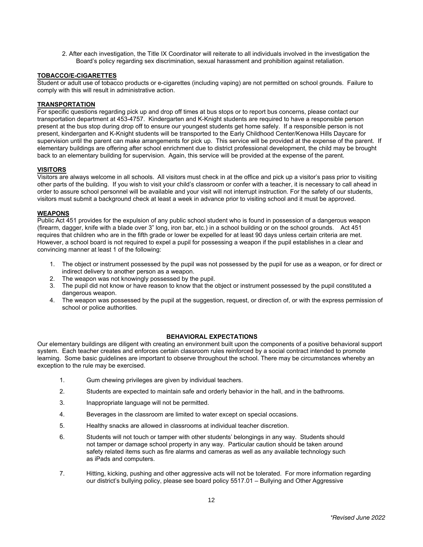2. After each investigation, the Title IX Coordinator will reiterate to all individuals involved in the investigation the Board's policy regarding sex discrimination, sexual harassment and prohibition against retaliation.

# **TOBACCO/E-CIGARETTES**

Student or adult use of tobacco products or e-cigarettes (including vaping) are not permitted on school grounds. Failure to comply with this will result in administrative action.

# **TRANSPORTATION**

For specific questions regarding pick up and drop off times at bus stops or to report bus concerns, please contact our transportation department at 453-4757. Kindergarten and K-Knight students are required to have a responsible person present at the bus stop during drop off to ensure our youngest students get home safely. If a responsible person is not present, kindergarten and K-Knight students will be transported to the Early Childhood Center/Kenowa Hills Daycare for supervision until the parent can make arrangements for pick up. This service will be provided at the expense of the parent. If elementary buildings are offering after school enrichment due to district professional development, the child may be brought back to an elementary building for supervision. Again, this service will be provided at the expense of the parent.

### **VISITORS**

Visitors are always welcome in all schools. All visitors must check in at the office and pick up a visitor's pass prior to visiting other parts of the building. If you wish to visit your child's classroom or confer with a teacher, it is necessary to call ahead in order to assure school personnel will be available and your visit will not interrupt instruction. For the safety of our students, visitors must submit a background check at least a week in advance prior to visiting school and it must be approved.

### **WEAPONS**

Public Act 451 provides for the expulsion of any public school student who is found in possession of a dangerous weapon (firearm, dagger, knife with a blade over 3" long, iron bar, etc.) in a school building or on the school grounds. Act 451 requires that children who are in the fifth grade or lower be expelled for at least 90 days unless certain criteria are met. However, a school board is not required to expel a pupil for possessing a weapon if the pupil establishes in a clear and convincing manner at least 1 of the following:

- 1. The object or instrument possessed by the pupil was not possessed by the pupil for use as a weapon, or for direct or indirect delivery to another person as a weapon.
- 2. The weapon was not knowingly possessed by the pupil.
- 3. The pupil did not know or have reason to know that the object or instrument possessed by the pupil constituted a dangerous weapon.
- 4. The weapon was possessed by the pupil at the suggestion, request, or direction of, or with the express permission of school or police authorities.

### **BEHAVIORAL EXPECTATIONS**

Our elementary buildings are diligent with creating an environment built upon the components of a positive behavioral support system. Each teacher creates and enforces certain classroom rules reinforced by a social contract intended to promote learning. Some basic guidelines are important to observe throughout the school. There may be circumstances whereby an exception to the rule may be exercised.

- 1. Gum chewing privileges are given by individual teachers.
- 2. Students are expected to maintain safe and orderly behavior in the hall, and in the bathrooms.
- 3. Inappropriate language will not be permitted.
- 4. Beverages in the classroom are limited to water except on special occasions.
- 5. Healthy snacks are allowed in classrooms at individual teacher discretion.
- 6. Students will not touch or tamper with other students' belongings in any way. Students should not tamper or damage school property in any way. Particular caution should be taken around safety related items such as fire alarms and cameras as well as any available technology such as iPads and computers.
- 7. Hitting, kicking, pushing and other aggressive acts will not be tolerated. For more information regarding our district's bullying policy, please see board policy 5517.01 – Bullying and Other Aggressive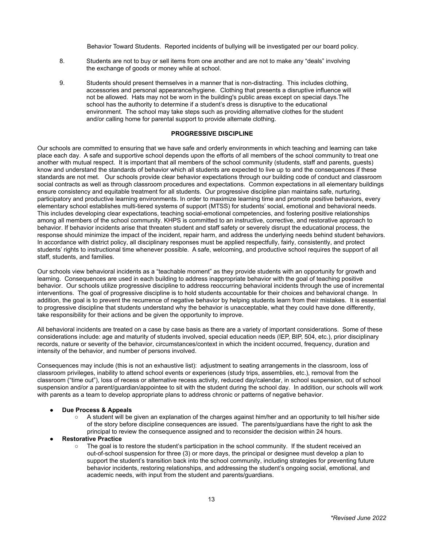Behavior Toward Students. Reported incidents of bullying will be investigated per our board policy.

- 8. Students are not to buy or sell items from one another and are not to make any "deals" involving the exchange of goods or money while at school.
- 9. Students should present themselves in a manner that is non-distracting. This includes clothing, accessories and personal appearance/hygiene. Clothing that presents a disruptive influence will not be allowed. Hats may not be worn in the building's public areas except on special days.The school has the authority to determine if a student's dress is disruptive to the educational environment. The school may take steps such as providing alternative clothes for the student and/or calling home for parental support to provide alternate clothing.

## **PROGRESSIVE DISCIPLINE**

Our schools are committed to ensuring that we have safe and orderly environments in which teaching and learning can take place each day. A safe and supportive school depends upon the efforts of all members of the school community to treat one another with mutual respect. It is important that all members of the school community (students, staff and parents, guests) know and understand the standards of behavior which all students are expected to live up to and the consequences if these standards are not met. Our schools provide clear behavior expectations through our building code of conduct and classroom social contracts as well as through classroom procedures and expectations. Common expectations in all elementary buildings ensure consistency and equitable treatment for all students. Our progressive discipline plan maintains safe, nurturing, participatory and productive learning environments. In order to maximize learning time and promote positive behaviors, every elementary school establishes multi-tiered systems of support (MTSS) for students' social, emotional and behavioral needs. This includes developing clear expectations, teaching social-emotional competencies, and fostering positive relationships among all members of the school community. KHPS is committed to an instructive, corrective, and restorative approach to behavior. If behavior incidents arise that threaten student and staff safety or severely disrupt the educational process, the response should minimize the impact of the incident, repair harm, and address the underlying needs behind student behaviors. In accordance with district policy, all disciplinary responses must be applied respectfully, fairly, consistently, and protect students' rights to instructional time whenever possible. A safe, welcoming, and productive school requires the support of all staff, students, and families.

Our schools view behavioral incidents as a "teachable moment" as they provide students with an opportunity for growth and learning. Consequences are used in each building to address inappropriate behavior with the goal of teaching positive behavior. Our schools utilize progressive discipline to address reoccurring behavioral incidents through the use of incremental interventions. The goal of progressive discipline is to hold students accountable for their choices and behavioral change. In addition, the goal is to prevent the recurrence of negative behavior by helping students learn from their mistakes. It is essential to progressive discipline that students understand why the behavior is unacceptable, what they could have done differently, take responsibility for their actions and be given the opportunity to improve.

All behavioral incidents are treated on a case by case basis as there are a variety of important considerations. Some of these considerations include: age and maturity of students involved, special education needs (IEP, BIP, 504, etc.), prior disciplinary records, nature or severity of the behavior, circumstances/context in which the incident occurred, frequency, duration and intensity of the behavior, and number of persons involved.

Consequences may include (this is not an exhaustive list): adjustment to seating arrangements in the classroom, loss of classroom privileges, inability to attend school events or experiences (study trips, assemblies, etc.), removal from the classroom ("time out"), loss of recess or alternative recess activity, reduced day/calendar, in school suspension, out of school suspension and/or a parent/guardian/appointee to sit with the student during the school day. In addition, our schools will work with parents as a team to develop appropriate plans to address chronic or patterns of negative behavior.

#### **Due Process & Appeals**

- A student will be given an explanation of the charges against him/her and an opportunity to tell his/her side of the story before discipline consequences are issued. The parents/guardians have the right to ask the principal to review the consequence assigned and to reconsider the decision within 24 hours.
- **Restorative Practice** 
	- The goal is to restore the student's participation in the school community. If the student received an out-of-school suspension for three (3) or more days, the principal or designee must develop a plan to support the student's transition back into the school community, including strategies for preventing future behavior incidents, restoring relationships, and addressing the student's ongoing social, emotional, and academic needs, with input from the student and parents/guardians.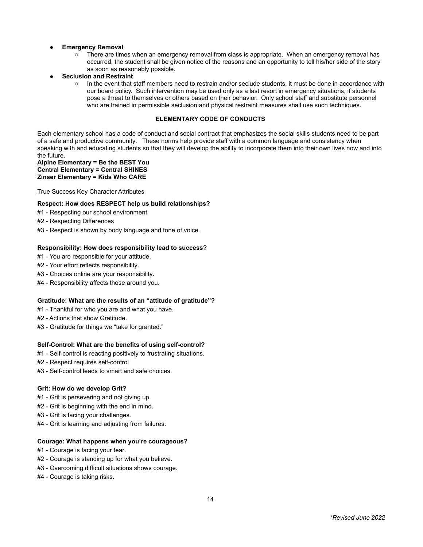# **Emergency Removal**

- There are times when an emergency removal from class is appropriate. When an emergency removal has occurred, the student shall be given notice of the reasons and an opportunity to tell his/her side of the story as soon as reasonably possible.
- **Seclusion and Restraint**
	- In the event that staff members need to restrain and/or seclude students, it must be done in accordance with our board policy. Such intervention may be used only as a last resort in emergency situations, if students pose a threat to themselves or others based on their behavior. Only school staff and substitute personnel who are trained in permissible seclusion and physical restraint measures shall use such techniques.

# **ELEMENTARY CODE OF CONDUCTS**

Each elementary school has a code of conduct and social contract that emphasizes the social skills students need to be part of a safe and productive community. These norms help provide staff with a common language and consistency when speaking with and educating students so that they will develop the ability to incorporate them into their own lives now and into the future.

#### **Alpine Elementary = Be the BEST You Central Elementary = Central SHINES Zinser Elementary = Kids Who CARE**

### True Success Key Character Attributes

# **Respect: How does RESPECT help us build relationships?**

- #1 Respecting our school environment
- #2 Respecting Differences
- #3 Respect is shown by body language and tone of voice.

### **Responsibility: How does responsibility lead to success?**

- #1 You are responsible for your attitude.
- #2 Your effort reflects responsibility.
- #3 Choices online are your responsibility.
- #4 Responsibility affects those around you.

### **Gratitude: What are the results of an "attitude of gratitude"?**

- #1 Thankful for who you are and what you have.
- #2 Actions that show Gratitude.
- #3 Gratitude for things we "take for granted."

### **Self-Control: What are the benefits of using self-control?**

- #1 Self-control is reacting positively to frustrating situations.
- #2 Respect requires self-control
- #3 Self-control leads to smart and safe choices.

#### **Grit: How do we develop Grit?**

- #1 Grit is persevering and not giving up.
- #2 Grit is beginning with the end in mind.
- #3 Grit is facing your challenges.
- #4 Grit is learning and adjusting from failures.

### **Courage: What happens when you're courageous?**

- #1 Courage is facing your fear.
- #2 Courage is standing up for what you believe.
- #3 Overcoming difficult situations shows courage.
- #4 Courage is taking risks.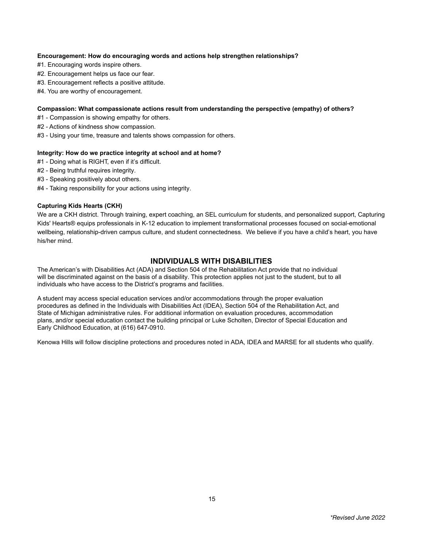# **Encouragement: How do encouraging words and actions help strengthen relationships?**

- #1. Encouraging words inspire others.
- #2. Encouragement helps us face our fear.
- #3. Encouragement reflects a positive attitude.
- #4. You are worthy of encouragement.

### **Compassion: What compassionate actions result from understanding the perspective (empathy) of others?**

- #1 Compassion is showing empathy for others.
- #2 Actions of kindness show compassion.
- #3 Using your time, treasure and talents shows compassion for others.

### **Integrity: How do we practice integrity at school and at home?**

- #1 Doing what is RIGHT, even if it's difficult.
- #2 Being truthful requires integrity.
- #3 Speaking positively about others.
- #4 Taking responsibility for your actions using integrity.

# **Capturing Kids Hearts (CKH)**

We are a CKH district. Through training, expert coaching, an SEL curriculum for students, and personalized support, Capturing Kids' Hearts® equips professionals in K-12 education to implement transformational processes focused on social-emotional wellbeing, relationship-driven campus culture, and student connectedness. We believe if you have a child's heart, you have his/her mind.

# **INDIVIDUALS WITH DISABILITIES**

The American's with Disabilities Act (ADA) and Section 504 of the Rehabilitation Act provide that no individual will be discriminated against on the basis of a disability. This protection applies not just to the student, but to all individuals who have access to the District's programs and facilities.

A student may access special education services and/or accommodations through the proper evaluation procedures as defined in the Individuals with Disabilities Act (IDEA), Section 504 of the Rehabilitation Act, and State of Michigan administrative rules. For additional information on evaluation procedures, accommodation plans, and/or special education contact the building principal or Luke Scholten, Director of Special Education and Early Childhood Education, at (616) 647-0910.

Kenowa Hills will follow discipline protections and procedures noted in ADA, IDEA and MARSE for all students who qualify.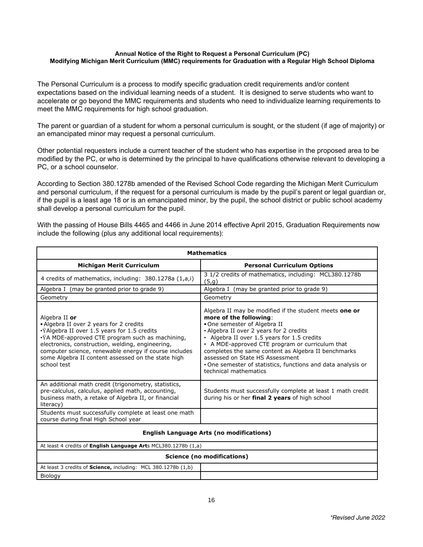# **Annual Notice of the Right to Request a Personal Curriculum (PC) Modifying Michigan Merit Curriculum (MMC) requirements for Graduation with a Regular High School Diploma**

The Personal Curriculum is a process to modify specific graduation credit requirements and/or content expectations based on the individual learning needs of a student. It is designed to serve students who want to accelerate or go beyond the MMC requirements and students who need to individualize learning requirements to meet the MMC requirements for high school graduation.

The parent or guardian of a student for whom a personal curriculum is sought, or the student (if age of majority) or an emancipated minor may request a personal curriculum.

Other potential requesters include a current teacher of the student who has expertise in the proposed area to be modified by the PC, or who is determined by the principal to have qualifications otherwise relevant to developing a PC, or a school counselor.

According to Section 380.1278b amended of the Revised School Code regarding the Michigan Merit Curriculum and personal curriculum, if the request for a personal curriculum is made by the pupil's parent or legal guardian or, if the pupil is a least age 18 or is an emancipated minor, by the pupil, the school district or public school academy shall develop a personal curriculum for the pupil.

With the passing of House Bills 4465 and 4466 in June 2014 effective April 2015, Graduation Requirements now include the following (plus any additional local requirements):

| <b>Mathematics</b>                                                                                                                                                                                                                                                                                                                           |                                                                                                                                                                                                                                                                                                                                                                                                                                                  |  |
|----------------------------------------------------------------------------------------------------------------------------------------------------------------------------------------------------------------------------------------------------------------------------------------------------------------------------------------------|--------------------------------------------------------------------------------------------------------------------------------------------------------------------------------------------------------------------------------------------------------------------------------------------------------------------------------------------------------------------------------------------------------------------------------------------------|--|
| <b>Michigan Merit Curriculum</b>                                                                                                                                                                                                                                                                                                             | <b>Personal Curriculum Options</b>                                                                                                                                                                                                                                                                                                                                                                                                               |  |
| 4 credits of mathematics, including: 380.1278a (1,a,i)                                                                                                                                                                                                                                                                                       | 3 1/2 credits of mathematics, including: MCL380.1278b<br>(5, g)                                                                                                                                                                                                                                                                                                                                                                                  |  |
| Algebra I (may be granted prior to grade 9)                                                                                                                                                                                                                                                                                                  | Algebra I (may be granted prior to grade 9)                                                                                                                                                                                                                                                                                                                                                                                                      |  |
| Geometry                                                                                                                                                                                                                                                                                                                                     | Geometry                                                                                                                                                                                                                                                                                                                                                                                                                                         |  |
| Algebra II or<br>• Algebra II over 2 years for 2 credits<br>·ŸAlgebra II over 1.5 years for 1.5 credits<br>•ŸA MDE-approved CTE program such as machining,<br>electronics, construction, welding, engineering,<br>computer science, renewable energy if course includes<br>some Algebra II content assessed on the state high<br>school test | Algebra II may be modified if the student meets one or<br>more of the following:<br>. One semester of Algebra II<br>• Algebra II over 2 years for 2 credits<br>• Algebra II over 1.5 years for 1.5 credits<br>• A MDE-approved CTE program or curriculum that<br>completes the same content as Algebra II benchmarks<br>assessed on State HS Assessment<br>• One semester of statistics, functions and data analysis or<br>technical mathematics |  |
| An additional math credit (trigonometry, statistics,<br>pre-calculus, calculus, applied math, accounting,<br>business math, a retake of Algebra II, or financial<br>literacy)                                                                                                                                                                | Students must successfully complete at least 1 math credit<br>during his or her final 2 years of high school                                                                                                                                                                                                                                                                                                                                     |  |
| Students must successfully complete at least one math<br>course during final High School year                                                                                                                                                                                                                                                |                                                                                                                                                                                                                                                                                                                                                                                                                                                  |  |
| <b>English Language Arts (no modifications)</b>                                                                                                                                                                                                                                                                                              |                                                                                                                                                                                                                                                                                                                                                                                                                                                  |  |
| At least 4 credits of English Language Arts MCL380.1278b (1,a)                                                                                                                                                                                                                                                                               |                                                                                                                                                                                                                                                                                                                                                                                                                                                  |  |
| Science (no modifications)                                                                                                                                                                                                                                                                                                                   |                                                                                                                                                                                                                                                                                                                                                                                                                                                  |  |
| At least 3 credits of Science, including: MCL 380.1278b (1,b)                                                                                                                                                                                                                                                                                |                                                                                                                                                                                                                                                                                                                                                                                                                                                  |  |
| Biology                                                                                                                                                                                                                                                                                                                                      |                                                                                                                                                                                                                                                                                                                                                                                                                                                  |  |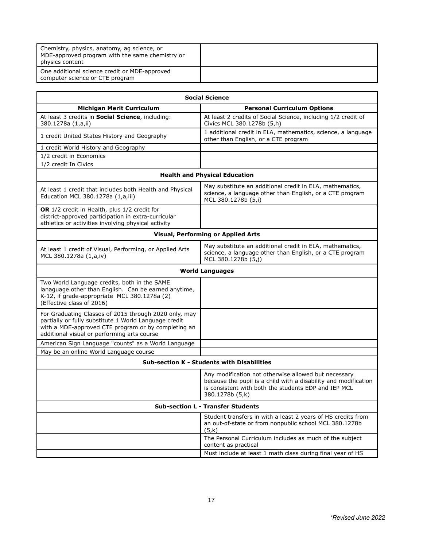| Chemistry, physics, anatomy, ag science, or<br>MDE-approved program with the same chemistry or<br>physics content |  |
|-------------------------------------------------------------------------------------------------------------------|--|
| One additional science credit or MDE-approved<br>computer science or CTE program                                  |  |

| <b>Social Science</b>                                                                                                                                                                                                |                                                                                                                                                                                                    |  |
|----------------------------------------------------------------------------------------------------------------------------------------------------------------------------------------------------------------------|----------------------------------------------------------------------------------------------------------------------------------------------------------------------------------------------------|--|
| <b>Michigan Merit Curriculum</b>                                                                                                                                                                                     | <b>Personal Curriculum Options</b>                                                                                                                                                                 |  |
| At least 3 credits in Social Science, including:<br>380.1278a (1,a,ii)                                                                                                                                               | At least 2 credits of Social Science, including 1/2 credit of<br>Civics MCL 380.1278b (5,h)                                                                                                        |  |
| 1 credit United States History and Geography                                                                                                                                                                         | 1 additional credit in ELA, mathematics, science, a language<br>other than English, or a CTE program                                                                                               |  |
| 1 credit World History and Geography                                                                                                                                                                                 |                                                                                                                                                                                                    |  |
| 1/2 credit in Economics                                                                                                                                                                                              |                                                                                                                                                                                                    |  |
| 1/2 credit In Civics                                                                                                                                                                                                 |                                                                                                                                                                                                    |  |
| <b>Health and Physical Education</b>                                                                                                                                                                                 |                                                                                                                                                                                                    |  |
| At least 1 credit that includes both Health and Physical<br>Education MCL 380.1278a (1,a,iii)                                                                                                                        | May substitute an additional credit in ELA, mathematics,<br>science, a language other than English, or a CTE program<br>MCL 380.1278b (5,i)                                                        |  |
| OR 1/2 credit in Health, plus 1/2 credit for<br>district-approved participation in extra-curricular<br>athletics or activities involving physical activity                                                           |                                                                                                                                                                                                    |  |
| <b>Visual, Performing or Applied Arts</b>                                                                                                                                                                            |                                                                                                                                                                                                    |  |
| At least 1 credit of Visual, Performing, or Applied Arts<br>MCL 380.1278a (1,a,iv)                                                                                                                                   | May substitute an additional credit in ELA, mathematics,<br>science, a language other than English, or a CTE program<br>MCL 380.1278b (5,j)                                                        |  |
| <b>World Languages</b>                                                                                                                                                                                               |                                                                                                                                                                                                    |  |
| Two World Language credits, both in the SAME<br>lanaguage other than English. Can be earned anytime,<br>K-12, if grade-appropriate MCL 380.1278a (2)<br>(Effective class of 2016)                                    |                                                                                                                                                                                                    |  |
| For Graduating Classes of 2015 through 2020 only, may<br>partially or fully substitute 1 World Language credit<br>with a MDE-approved CTE program or by completing an<br>additional visual or performing arts course |                                                                                                                                                                                                    |  |
| American Sign Language "counts" as a World Language                                                                                                                                                                  |                                                                                                                                                                                                    |  |
| May be an online World Language course                                                                                                                                                                               |                                                                                                                                                                                                    |  |
| <b>Sub-section K - Students with Disabilities</b>                                                                                                                                                                    |                                                                                                                                                                                                    |  |
|                                                                                                                                                                                                                      | Any modification not otherwise allowed but necessary<br>because the pupil is a child with a disability and modification<br>is consistent with both the students EDP and IEP MCL<br>380.1278b (5,k) |  |
| <b>Sub-section L - Transfer Students</b>                                                                                                                                                                             |                                                                                                                                                                                                    |  |
|                                                                                                                                                                                                                      | Student transfers in with a least 2 years of HS credits from<br>an out-of-state or from nonpublic school MCL 380.1278b<br>(5,k)                                                                    |  |
|                                                                                                                                                                                                                      | The Personal Curriculum includes as much of the subject<br>content as practical                                                                                                                    |  |
|                                                                                                                                                                                                                      | Must include at least 1 math class during final year of HS                                                                                                                                         |  |